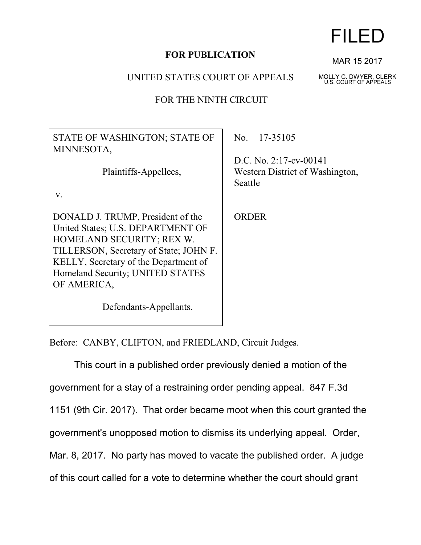## **FOR PUBLICATION**

## UNITED STATES COURT OF APPEALS

## FOR THE NINTH CIRCUIT

STATE OF WASHINGTON; STATE OF MINNESOTA,

Plaintiffs-Appellees,

v.

DONALD J. TRUMP, President of the United States; U.S. DEPARTMENT OF HOMELAND SECURITY; REX W. TILLERSON, Secretary of State; JOHN F. KELLY, Secretary of the Department of Homeland Security; UNITED STATES OF AMERICA,

No. 17-35105

D.C. No. 2:17-cv-00141 Western District of Washington, Seattle

**ORDER** 

Defendants-Appellants.

Before: CANBY, CLIFTON, and FRIEDLAND, Circuit Judges.

This court in a published order previously denied a motion of the government for a stay of a restraining order pending appeal. 847 F.3d 1151 (9th Cir. 2017). That order became moot when this court granted the government's unopposed motion to dismiss its underlying appeal. Order, Mar. 8, 2017. No party has moved to vacate the published order. A judge of this court called for a vote to determine whether the court should grant



MAR 15 2017

MOLLY C. DWYER, CLERK U.S. COURT OF APPEALS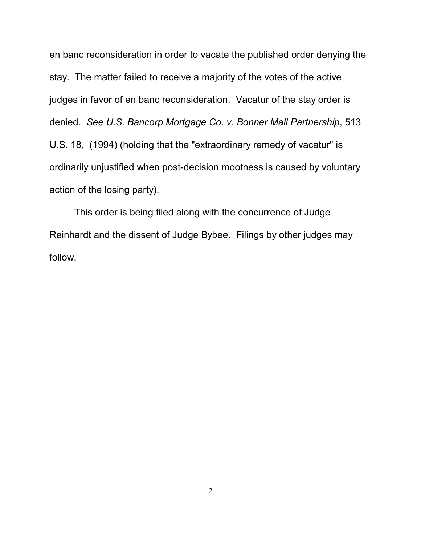en banc reconsideration in order to vacate the published order denying the stay. The matter failed to receive a majority of the votes of the active judges in favor of en banc reconsideration. Vacatur of the stay order is denied. *See U.S. Bancorp Mortgage Co. v. Bonner Mall Partnership*, 513 U.S. 18, (1994) (holding that the "extraordinary remedy of vacatur" is ordinarily unjustified when post-decision mootness is caused by voluntary action of the losing party).

This order is being filed along with the concurrence of Judge Reinhardt and the dissent of Judge Bybee. Filings by other judges may follow.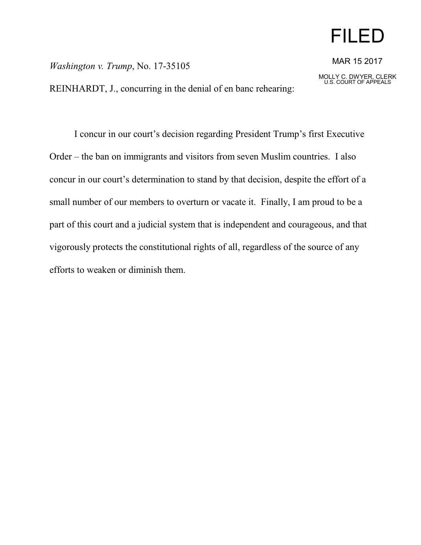# FILED

*Washington v. Trump*, No. 17-35105

REINHARDT, J., concurring in the denial of en banc rehearing:

MAR 15 2017

MOLLY C. DWYER, CLERK U.S. COURT OF APPEALS

I concur in our court's decision regarding President Trump's first Executive Order – the ban on immigrants and visitors from seven Muslim countries. I also concur in our court's determination to stand by that decision, despite the effort of a small number of our members to overturn or vacate it. Finally, I am proud to be a part of this court and a judicial system that is independent and courageous, and that vigorously protects the constitutional rights of all, regardless of the source of any efforts to weaken or diminish them.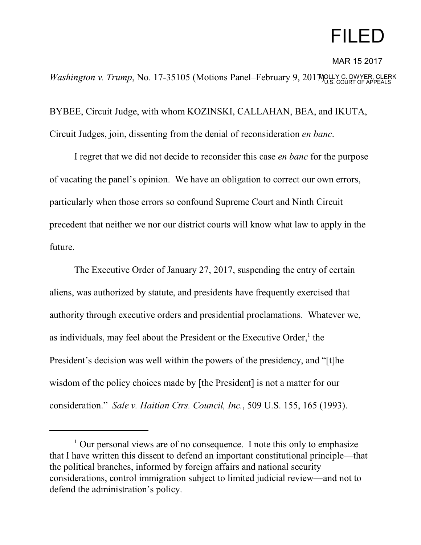# FILED

MAR 15 2017

*Washington v. Trump*, No. 17-35105 (Motions Panel–February 9, 201 MOLLY C. DWYER, CLERK

BYBEE, Circuit Judge, with whom KOZINSKI, CALLAHAN, BEA, and IKUTA, Circuit Judges, join, dissenting from the denial of reconsideration *en banc*.

I regret that we did not decide to reconsider this case *en banc* for the purpose of vacating the panel's opinion. We have an obligation to correct our own errors, particularly when those errors so confound Supreme Court and Ninth Circuit precedent that neither we nor our district courts will know what law to apply in the future.

The Executive Order of January 27, 2017, suspending the entry of certain aliens, was authorized by statute, and presidents have frequently exercised that authority through executive orders and presidential proclamations. Whatever we, as individuals, may feel about the President or the Executive Order,<sup>1</sup> the President's decision was well within the powers of the presidency, and "[t]he wisdom of the policy choices made by [the President] is not a matter for our consideration." *Sale v. Haitian Ctrs. Council, Inc.*, 509 U.S. 155, 165 (1993).

<sup>&</sup>lt;sup>1</sup> Our personal views are of no consequence. I note this only to emphasize that I have written this dissent to defend an important constitutional principle—that the political branches, informed by foreign affairs and national security considerations, control immigration subject to limited judicial review—and not to defend the administration's policy.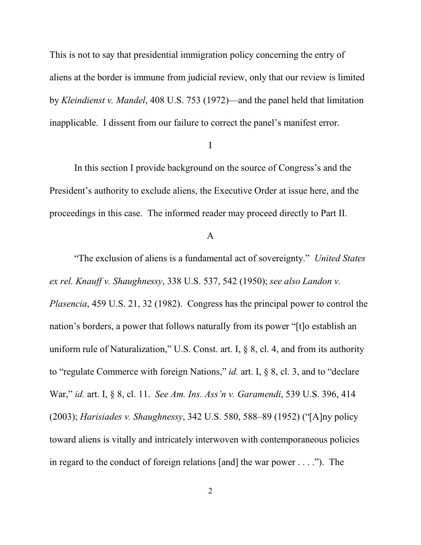This is not to say that presidential immigration policy concerning the entry of aliens at the border is immune from judicial review, only that our review is limited by *Kleindienst v. Mandel*, 408 U.S. 753 (1972)—and the panel held that limitation inapplicable. I dissent from our failure to correct the panel's manifest error.

### I

In this section I provide background on the source of Congress's and the President's authority to exclude aliens, the Executive Order at issue here, and the proceedings in this case. The informed reader may proceed directly to Part II.

#### A

"The exclusion of aliens is a fundamental act of sovereignty." *United States ex rel. Knauff v. Shaughnessy*, 338 U.S. 537, 542 (1950); *see also Landon v. Plasencia*, 459 U.S. 21, 32 (1982). Congress has the principal power to control the nation's borders, a power that follows naturally from its power "[t]o establish an uniform rule of Naturalization," U.S. Const. art. I, § 8, cl. 4, and from its authority to "regulate Commerce with foreign Nations," *id.* art. I, § 8, cl. 3, and to "declare War," *id.* art. I, § 8, cl. 11. *See Am. Ins. Ass'n v. Garamendi*, 539 U.S. 396, 414 (2003); *Harisiades v. Shaughnessy*, 342 U.S. 580, 588–89 (1952) ("[A]ny policy toward aliens is vitally and intricately interwoven with contemporaneous policies in regard to the conduct of foreign relations [and] the war power . . . ."). The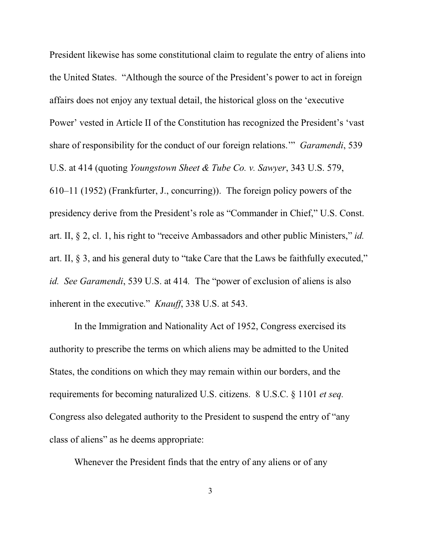President likewise has some constitutional claim to regulate the entry of aliens into the United States. "Although the source of the President's power to act in foreign affairs does not enjoy any textual detail, the historical gloss on the 'executive Power' vested in Article II of the Constitution has recognized the President's 'vast share of responsibility for the conduct of our foreign relations.'" *Garamendi*, 539 U.S. at 414 (quoting *Youngstown Sheet & Tube Co. v. Sawyer*, 343 U.S. 579, 610–11 (1952) (Frankfurter, J., concurring)). The foreign policy powers of the presidency derive from the President's role as "Commander in Chief," U.S. Const. art. II, § 2, cl. 1, his right to "receive Ambassadors and other public Ministers," *id.* art. II, § 3, and his general duty to "take Care that the Laws be faithfully executed," *id. See Garamendi*, 539 U.S. at 414*.* The "power of exclusion of aliens is also inherent in the executive." *Knauff*, 338 U.S. at 543.

In the Immigration and Nationality Act of 1952, Congress exercised its authority to prescribe the terms on which aliens may be admitted to the United States, the conditions on which they may remain within our borders, and the requirements for becoming naturalized U.S. citizens. 8 U.S.C. § 1101 *et seq.* Congress also delegated authority to the President to suspend the entry of "any class of aliens" as he deems appropriate:

Whenever the President finds that the entry of any aliens or of any

3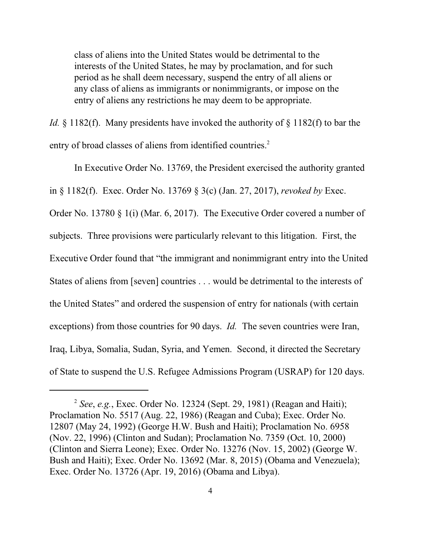class of aliens into the United States would be detrimental to the interests of the United States, he may by proclamation, and for such period as he shall deem necessary, suspend the entry of all aliens or any class of aliens as immigrants or nonimmigrants, or impose on the entry of aliens any restrictions he may deem to be appropriate.

*Id.* § 1182(f). Many presidents have invoked the authority of § 1182(f) to bar the entry of broad classes of aliens from identified countries.<sup>2</sup>

In Executive Order No. 13769, the President exercised the authority granted in § 1182(f). Exec. Order No. 13769 § 3(c) (Jan. 27, 2017), *revoked by* Exec. Order No. 13780 § 1(i) (Mar. 6, 2017). The Executive Order covered a number of subjects. Three provisions were particularly relevant to this litigation. First, the Executive Order found that "the immigrant and nonimmigrant entry into the United States of aliens from [seven] countries . . . would be detrimental to the interests of the United States" and ordered the suspension of entry for nationals (with certain exceptions) from those countries for 90 days. *Id.* The seven countries were Iran, Iraq, Libya, Somalia, Sudan, Syria, and Yemen. Second, it directed the Secretary of State to suspend the U.S. Refugee Admissions Program (USRAP) for 120 days.

<sup>2</sup> *See*, *e.g.*, Exec. Order No. 12324 (Sept. 29, 1981) (Reagan and Haiti); Proclamation No. 5517 (Aug. 22, 1986) (Reagan and Cuba); Exec. Order No. 12807 (May 24, 1992) (George H.W. Bush and Haiti); Proclamation No. 6958 (Nov. 22, 1996) (Clinton and Sudan); Proclamation No. 7359 (Oct. 10, 2000) (Clinton and Sierra Leone); Exec. Order No. 13276 (Nov. 15, 2002) (George W. Bush and Haiti); Exec. Order No. 13692 (Mar. 8, 2015) (Obama and Venezuela); Exec. Order No. 13726 (Apr. 19, 2016) (Obama and Libya).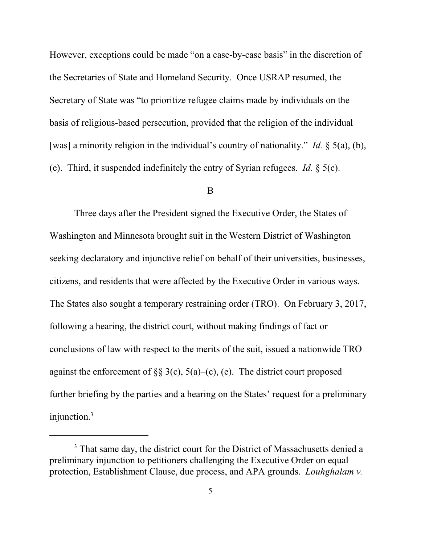However, exceptions could be made "on a case-by-case basis" in the discretion of the Secretaries of State and Homeland Security. Once USRAP resumed, the Secretary of State was "to prioritize refugee claims made by individuals on the basis of religious-based persecution, provided that the religion of the individual [was] a minority religion in the individual's country of nationality." *Id.* § 5(a), (b), (e). Third, it suspended indefinitely the entry of Syrian refugees. *Id.* § 5(c).

#### B

Three days after the President signed the Executive Order, the States of Washington and Minnesota brought suit in the Western District of Washington seeking declaratory and injunctive relief on behalf of their universities, businesses, citizens, and residents that were affected by the Executive Order in various ways. The States also sought a temporary restraining order (TRO). On February 3, 2017, following a hearing, the district court, without making findings of fact or conclusions of law with respect to the merits of the suit, issued a nationwide TRO against the enforcement of §§ 3(c), 5(a)–(c), (e). The district court proposed further briefing by the parties and a hearing on the States' request for a preliminary injunction.<sup>3</sup>

<sup>&</sup>lt;sup>3</sup> That same day, the district court for the District of Massachusetts denied a preliminary injunction to petitioners challenging the Executive Order on equal protection, Establishment Clause, due process, and APA grounds. *Louhghalam v.*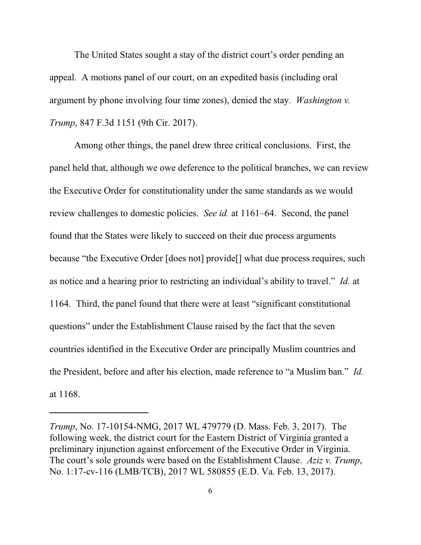The United States sought a stay of the district court's order pending an appeal. A motions panel of our court, on an expedited basis (including oral argument by phone involving four time zones), denied the stay. *Washington v. Trump*, 847 F.3d 1151 (9th Cir. 2017).

Among other things, the panel drew three critical conclusions. First, the panel held that, although we owe deference to the political branches, we can review the Executive Order for constitutionality under the same standards as we would review challenges to domestic policies. *See id.* at 1161–64. Second, the panel found that the States were likely to succeed on their due process arguments because "the Executive Order [does not] provide[] what due process requires, such as notice and a hearing prior to restricting an individual's ability to travel." *Id.* at 1164. Third, the panel found that there were at least "significant constitutional questions" under the Establishment Clause raised by the fact that the seven countries identified in the Executive Order are principally Muslim countries and the President, before and after his election, made reference to "a Muslim ban." *Id.* at 1168.

*Trump*, No. 17-10154-NMG, 2017 WL 479779 (D. Mass. Feb. 3, 2017). The following week, the district court for the Eastern District of Virginia granted a preliminary injunction against enforcement of the Executive Order in Virginia. The court's sole grounds were based on the Establishment Clause. *Aziz v. Trump*, No. 1:17-cv-116 (LMB/TCB), 2017 WL 580855 (E.D. Va. Feb. 13, 2017).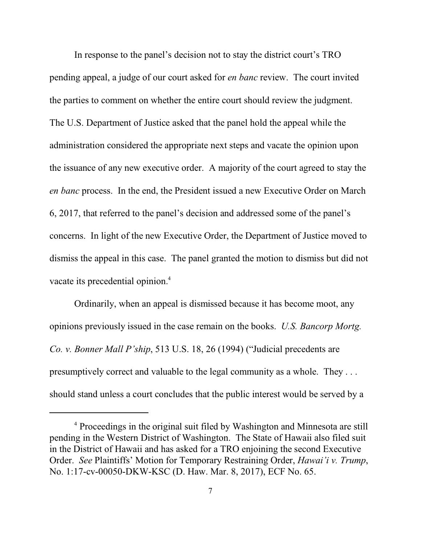In response to the panel's decision not to stay the district court's TRO pending appeal, a judge of our court asked for *en banc* review. The court invited the parties to comment on whether the entire court should review the judgment. The U.S. Department of Justice asked that the panel hold the appeal while the administration considered the appropriate next steps and vacate the opinion upon the issuance of any new executive order. A majority of the court agreed to stay the *en banc* process. In the end, the President issued a new Executive Order on March 6, 2017, that referred to the panel's decision and addressed some of the panel's concerns. In light of the new Executive Order, the Department of Justice moved to dismiss the appeal in this case. The panel granted the motion to dismiss but did not vacate its precedential opinion.<sup>4</sup>

Ordinarily, when an appeal is dismissed because it has become moot, any opinions previously issued in the case remain on the books. *U.S. Bancorp Mortg. Co. v. Bonner Mall P'ship*, 513 U.S. 18, 26 (1994) ("Judicial precedents are presumptively correct and valuable to the legal community as a whole. They . . . should stand unless a court concludes that the public interest would be served by a

<sup>&</sup>lt;sup>4</sup> Proceedings in the original suit filed by Washington and Minnesota are still pending in the Western District of Washington. The State of Hawaii also filed suit in the District of Hawaii and has asked for a TRO enjoining the second Executive Order. *See* Plaintiffs' Motion for Temporary Restraining Order, *Hawai'i v. Trump*, No. 1:17-cv-00050-DKW-KSC (D. Haw. Mar. 8, 2017), ECF No. 65.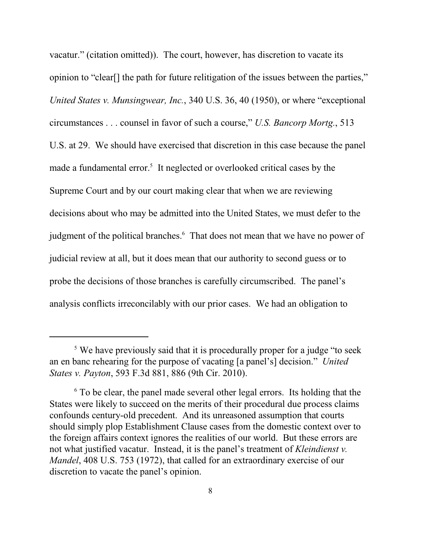vacatur." (citation omitted)). The court, however, has discretion to vacate its opinion to "clear[] the path for future relitigation of the issues between the parties," *United States v. Munsingwear, Inc.*, 340 U.S. 36, 40 (1950), or where "exceptional circumstances . . . counsel in favor of such a course," *U.S. Bancorp Mortg.*, 513 U.S. at 29. We should have exercised that discretion in this case because the panel made a fundamental error.<sup>5</sup> It neglected or overlooked critical cases by the Supreme Court and by our court making clear that when we are reviewing decisions about who may be admitted into the United States, we must defer to the judgment of the political branches.<sup>6</sup> That does not mean that we have no power of judicial review at all, but it does mean that our authority to second guess or to probe the decisions of those branches is carefully circumscribed. The panel's analysis conflicts irreconcilably with our prior cases. We had an obligation to

<sup>&</sup>lt;sup>5</sup> We have previously said that it is procedurally proper for a judge "to seek an en banc rehearing for the purpose of vacating [a panel's] decision." *United States v. Payton*, 593 F.3d 881, 886 (9th Cir. 2010).

<sup>&</sup>lt;sup>6</sup> To be clear, the panel made several other legal errors. Its holding that the States were likely to succeed on the merits of their procedural due process claims confounds century-old precedent. And its unreasoned assumption that courts should simply plop Establishment Clause cases from the domestic context over to the foreign affairs context ignores the realities of our world. But these errors are not what justified vacatur. Instead, it is the panel's treatment of *Kleindienst v. Mandel*, 408 U.S. 753 (1972), that called for an extraordinary exercise of our discretion to vacate the panel's opinion.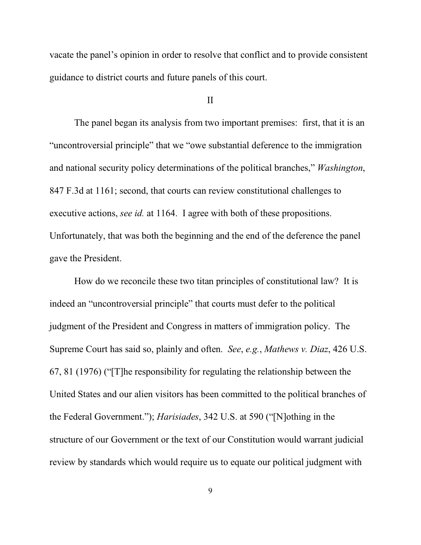vacate the panel's opinion in order to resolve that conflict and to provide consistent guidance to district courts and future panels of this court.

### II

The panel began its analysis from two important premises: first, that it is an "uncontroversial principle" that we "owe substantial deference to the immigration and national security policy determinations of the political branches," *Washington*, 847 F.3d at 1161; second, that courts can review constitutional challenges to executive actions, *see id.* at 1164. I agree with both of these propositions. Unfortunately, that was both the beginning and the end of the deference the panel gave the President.

How do we reconcile these two titan principles of constitutional law? It is indeed an "uncontroversial principle" that courts must defer to the political judgment of the President and Congress in matters of immigration policy. The Supreme Court has said so, plainly and often. *See*, *e.g.*, *Mathews v. Diaz*, 426 U.S. 67, 81 (1976) ("[T]he responsibility for regulating the relationship between the United States and our alien visitors has been committed to the political branches of the Federal Government."); *Harisiades*, 342 U.S. at 590 ("[N]othing in the structure of our Government or the text of our Constitution would warrant judicial review by standards which would require us to equate our political judgment with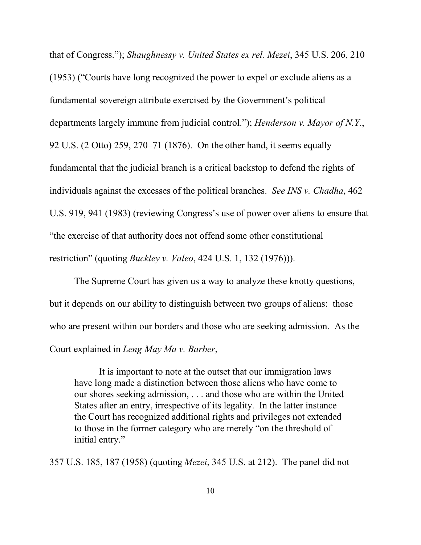that of Congress."); *Shaughnessy v. United States ex rel. Mezei*, 345 U.S. 206, 210 (1953) ("Courts have long recognized the power to expel or exclude aliens as a fundamental sovereign attribute exercised by the Government's political departments largely immune from judicial control."); *Henderson v. Mayor of N.Y.*, 92 U.S. (2 Otto) 259, 270–71 (1876). On the other hand, it seems equally fundamental that the judicial branch is a critical backstop to defend the rights of individuals against the excesses of the political branches. *See INS v. Chadha*, 462 U.S. 919, 941 (1983) (reviewing Congress's use of power over aliens to ensure that "the exercise of that authority does not offend some other constitutional restriction" (quoting *Buckley v. Valeo*, 424 U.S. 1, 132 (1976))).

The Supreme Court has given us a way to analyze these knotty questions, but it depends on our ability to distinguish between two groups of aliens: those who are present within our borders and those who are seeking admission. As the Court explained in *Leng May Ma v. Barber*,

It is important to note at the outset that our immigration laws have long made a distinction between those aliens who have come to our shores seeking admission, . . . and those who are within the United States after an entry, irrespective of its legality. In the latter instance the Court has recognized additional rights and privileges not extended to those in the former category who are merely "on the threshold of initial entry."

357 U.S. 185, 187 (1958) (quoting *Mezei*, 345 U.S. at 212). The panel did not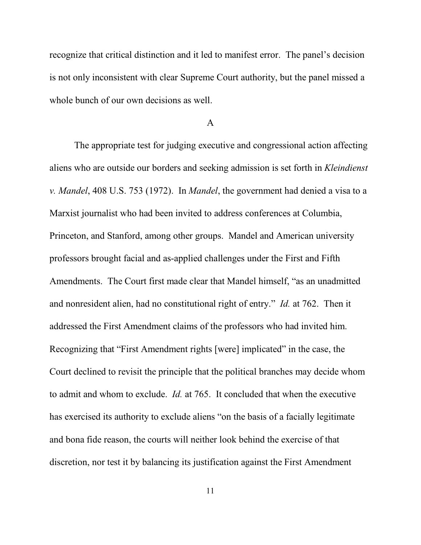recognize that critical distinction and it led to manifest error. The panel's decision is not only inconsistent with clear Supreme Court authority, but the panel missed a whole bunch of our own decisions as well.

#### A

The appropriate test for judging executive and congressional action affecting aliens who are outside our borders and seeking admission is set forth in *Kleindienst v. Mandel*, 408 U.S. 753 (1972). In *Mandel*, the government had denied a visa to a Marxist journalist who had been invited to address conferences at Columbia, Princeton, and Stanford, among other groups. Mandel and American university professors brought facial and as-applied challenges under the First and Fifth Amendments. The Court first made clear that Mandel himself, "as an unadmitted and nonresident alien, had no constitutional right of entry." *Id.* at 762. Then it addressed the First Amendment claims of the professors who had invited him. Recognizing that "First Amendment rights [were] implicated" in the case, the Court declined to revisit the principle that the political branches may decide whom to admit and whom to exclude. *Id.* at 765. It concluded that when the executive has exercised its authority to exclude aliens "on the basis of a facially legitimate and bona fide reason, the courts will neither look behind the exercise of that discretion, nor test it by balancing its justification against the First Amendment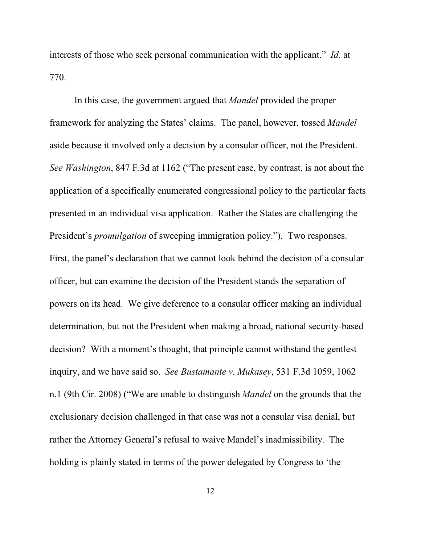interests of those who seek personal communication with the applicant." *Id.* at 770.

In this case, the government argued that *Mandel* provided the proper framework for analyzing the States' claims. The panel, however, tossed *Mandel* aside because it involved only a decision by a consular officer, not the President. *See Washington*, 847 F.3d at 1162 ("The present case, by contrast, is not about the application of a specifically enumerated congressional policy to the particular facts presented in an individual visa application. Rather the States are challenging the President's *promulgation* of sweeping immigration policy."). Two responses. First, the panel's declaration that we cannot look behind the decision of a consular officer, but can examine the decision of the President stands the separation of powers on its head. We give deference to a consular officer making an individual determination, but not the President when making a broad, national security-based decision? With a moment's thought, that principle cannot withstand the gentlest inquiry, and we have said so. *See Bustamante v. Mukasey*, 531 F.3d 1059, 1062 n.1 (9th Cir. 2008) ("We are unable to distinguish *Mandel* on the grounds that the exclusionary decision challenged in that case was not a consular visa denial, but rather the Attorney General's refusal to waive Mandel's inadmissibility. The holding is plainly stated in terms of the power delegated by Congress to 'the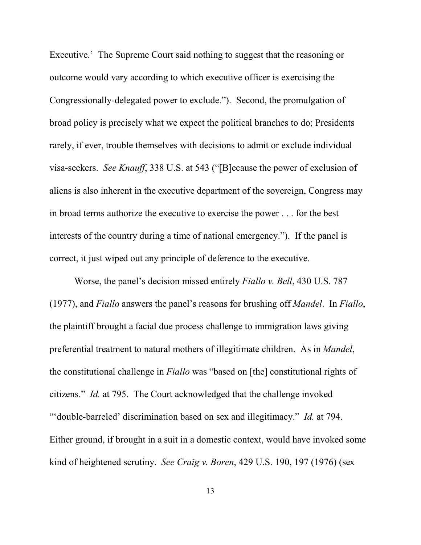Executive.' The Supreme Court said nothing to suggest that the reasoning or outcome would vary according to which executive officer is exercising the Congressionally-delegated power to exclude."). Second, the promulgation of broad policy is precisely what we expect the political branches to do; Presidents rarely, if ever, trouble themselves with decisions to admit or exclude individual visa-seekers. *See Knauff*, 338 U.S. at 543 ("[B]ecause the power of exclusion of aliens is also inherent in the executive department of the sovereign, Congress may in broad terms authorize the executive to exercise the power . . . for the best interests of the country during a time of national emergency."). If the panel is correct, it just wiped out any principle of deference to the executive.

Worse, the panel's decision missed entirely *Fiallo v. Bell*, 430 U.S. 787 (1977), and *Fiallo* answers the panel's reasons for brushing off *Mandel*. In *Fiallo*, the plaintiff brought a facial due process challenge to immigration laws giving preferential treatment to natural mothers of illegitimate children. As in *Mandel*, the constitutional challenge in *Fiallo* was "based on [the] constitutional rights of citizens." *Id.* at 795. The Court acknowledged that the challenge invoked "'double-barreled' discrimination based on sex and illegitimacy." *Id.* at 794. Either ground, if brought in a suit in a domestic context, would have invoked some kind of heightened scrutiny. *See Craig v. Boren*, 429 U.S. 190, 197 (1976) (sex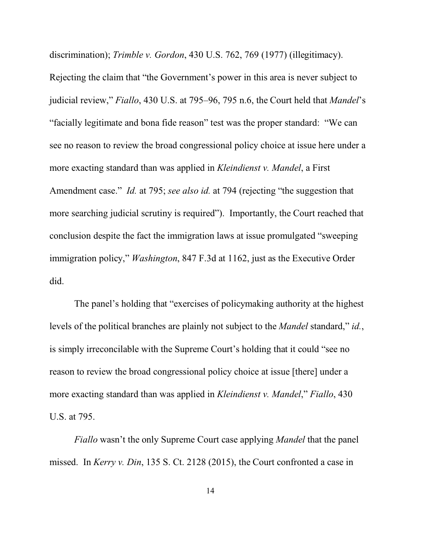discrimination); *Trimble v. Gordon*, 430 U.S. 762, 769 (1977) (illegitimacy). Rejecting the claim that "the Government's power in this area is never subject to judicial review," *Fiallo*, 430 U.S. at 795–96, 795 n.6, the Court held that *Mandel*'s "facially legitimate and bona fide reason" test was the proper standard: "We can see no reason to review the broad congressional policy choice at issue here under a more exacting standard than was applied in *Kleindienst v. Mandel*, a First Amendment case." *Id.* at 795; *see also id.* at 794 (rejecting "the suggestion that more searching judicial scrutiny is required"). Importantly, the Court reached that conclusion despite the fact the immigration laws at issue promulgated "sweeping immigration policy," *Washington*, 847 F.3d at 1162, just as the Executive Order did.

The panel's holding that "exercises of policymaking authority at the highest levels of the political branches are plainly not subject to the *Mandel* standard," *id.*, is simply irreconcilable with the Supreme Court's holding that it could "see no reason to review the broad congressional policy choice at issue [there] under a more exacting standard than was applied in *Kleindienst v. Mandel*," *Fiallo*, 430 U.S. at 795.

*Fiallo* wasn't the only Supreme Court case applying *Mandel* that the panel missed. In *Kerry v. Din*, 135 S. Ct. 2128 (2015), the Court confronted a case in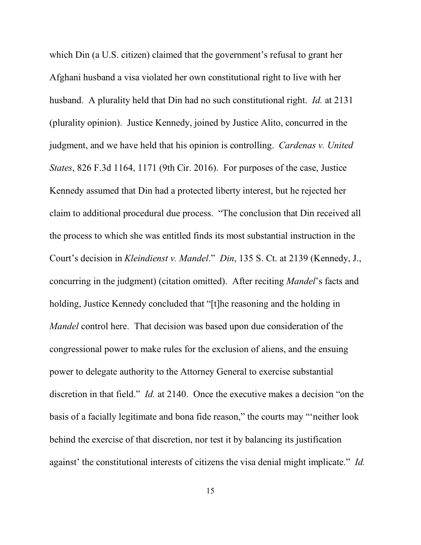which Din (a U.S. citizen) claimed that the government's refusal to grant her Afghani husband a visa violated her own constitutional right to live with her husband. A plurality held that Din had no such constitutional right. *Id.* at 2131 (plurality opinion). Justice Kennedy, joined by Justice Alito, concurred in the judgment, and we have held that his opinion is controlling. *Cardenas v. United States*, 826 F.3d 1164, 1171 (9th Cir. 2016). For purposes of the case, Justice Kennedy assumed that Din had a protected liberty interest, but he rejected her claim to additional procedural due process. "The conclusion that Din received all the process to which she was entitled finds its most substantial instruction in the Court's decision in *Kleindienst v. Mandel*." *Din*, 135 S. Ct. at 2139 (Kennedy, J., concurring in the judgment) (citation omitted). After reciting *Mandel*'s facts and holding, Justice Kennedy concluded that "[t]he reasoning and the holding in *Mandel* control here. That decision was based upon due consideration of the congressional power to make rules for the exclusion of aliens, and the ensuing power to delegate authority to the Attorney General to exercise substantial discretion in that field." *Id.* at 2140. Once the executive makes a decision "on the basis of a facially legitimate and bona fide reason," the courts may "'neither look behind the exercise of that discretion, nor test it by balancing its justification against' the constitutional interests of citizens the visa denial might implicate." *Id.*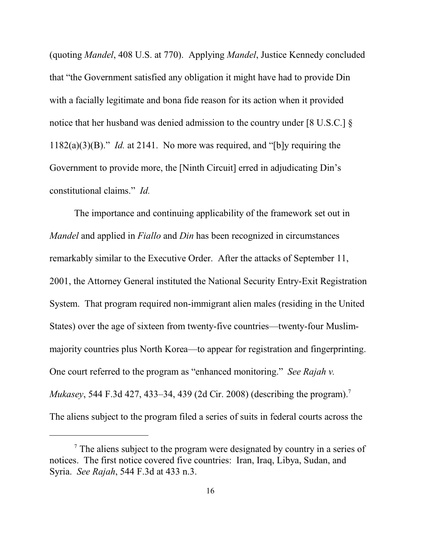(quoting *Mandel*, 408 U.S. at 770). Applying *Mandel*, Justice Kennedy concluded that "the Government satisfied any obligation it might have had to provide Din with a facially legitimate and bona fide reason for its action when it provided notice that her husband was denied admission to the country under [8 U.S.C.]  $\S$ 1182(a)(3)(B)." *Id.* at 2141. No more was required, and "[b]y requiring the Government to provide more, the [Ninth Circuit] erred in adjudicating Din's constitutional claims." *Id.*

The importance and continuing applicability of the framework set out in *Mandel* and applied in *Fiallo* and *Din* has been recognized in circumstances remarkably similar to the Executive Order. After the attacks of September 11, 2001, the Attorney General instituted the National Security Entry-Exit Registration System. That program required non-immigrant alien males (residing in the United States) over the age of sixteen from twenty-five countries—twenty-four Muslimmajority countries plus North Korea—to appear for registration and fingerprinting. One court referred to the program as "enhanced monitoring." *See Rajah v. Mukasey*, 544 F.3d 427, 433–34, 439 (2d Cir. 2008) (describing the program).<sup>7</sup> The aliens subject to the program filed a series of suits in federal courts across the

<sup>&</sup>lt;sup>7</sup> The aliens subject to the program were designated by country in a series of notices. The first notice covered five countries: Iran, Iraq, Libya, Sudan, and Syria. *See Rajah*, 544 F.3d at 433 n.3.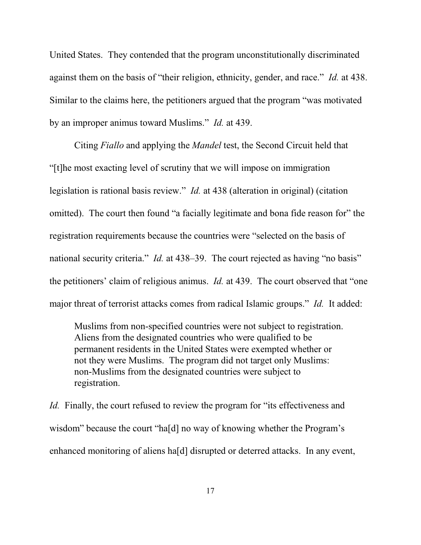United States. They contended that the program unconstitutionally discriminated against them on the basis of "their religion, ethnicity, gender, and race." *Id.* at 438. Similar to the claims here, the petitioners argued that the program "was motivated by an improper animus toward Muslims." *Id.* at 439.

Citing *Fiallo* and applying the *Mandel* test, the Second Circuit held that "[t]he most exacting level of scrutiny that we will impose on immigration legislation is rational basis review." *Id.* at 438 (alteration in original) (citation omitted). The court then found "a facially legitimate and bona fide reason for" the registration requirements because the countries were "selected on the basis of national security criteria." *Id.* at 438–39. The court rejected as having "no basis" the petitioners' claim of religious animus. *Id.* at 439. The court observed that "one major threat of terrorist attacks comes from radical Islamic groups." *Id.* It added:

Muslims from non-specified countries were not subject to registration. Aliens from the designated countries who were qualified to be permanent residents in the United States were exempted whether or not they were Muslims. The program did not target only Muslims: non-Muslims from the designated countries were subject to registration.

*Id.* Finally, the court refused to review the program for "its effectiveness and wisdom" because the court "ha[d] no way of knowing whether the Program's enhanced monitoring of aliens ha[d] disrupted or deterred attacks. In any event,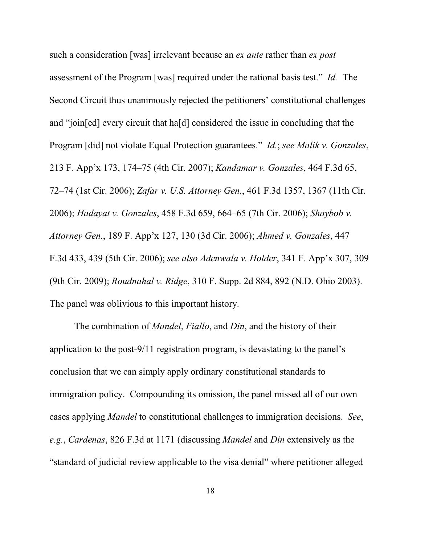such a consideration [was] irrelevant because an *ex ante* rather than *ex post* assessment of the Program [was] required under the rational basis test." *Id.* The Second Circuit thus unanimously rejected the petitioners' constitutional challenges and "join[ed] every circuit that ha[d] considered the issue in concluding that the Program [did] not violate Equal Protection guarantees." *Id.*; *see Malik v. Gonzales*, 213 F. App'x 173, 174–75 (4th Cir. 2007); *Kandamar v. Gonzales*, 464 F.3d 65, 72–74 (1st Cir. 2006); *Zafar v. U.S. Attorney Gen.*, 461 F.3d 1357, 1367 (11th Cir. 2006); *Hadayat v. Gonzales*, 458 F.3d 659, 664–65 (7th Cir. 2006); *Shaybob v. Attorney Gen.*, 189 F. App'x 127, 130 (3d Cir. 2006); *Ahmed v. Gonzales*, 447 F.3d 433, 439 (5th Cir. 2006); *see also Adenwala v. Holder*, 341 F. App'x 307, 309 (9th Cir. 2009); *Roudnahal v. Ridge*, 310 F. Supp. 2d 884, 892 (N.D. Ohio 2003). The panel was oblivious to this important history.

The combination of *Mandel*, *Fiallo*, and *Din*, and the history of their application to the post-9/11 registration program, is devastating to the panel's conclusion that we can simply apply ordinary constitutional standards to immigration policy. Compounding its omission, the panel missed all of our own cases applying *Mandel* to constitutional challenges to immigration decisions. *See*, *e.g.*, *Cardenas*, 826 F.3d at 1171 (discussing *Mandel* and *Din* extensively as the "standard of judicial review applicable to the visa denial" where petitioner alleged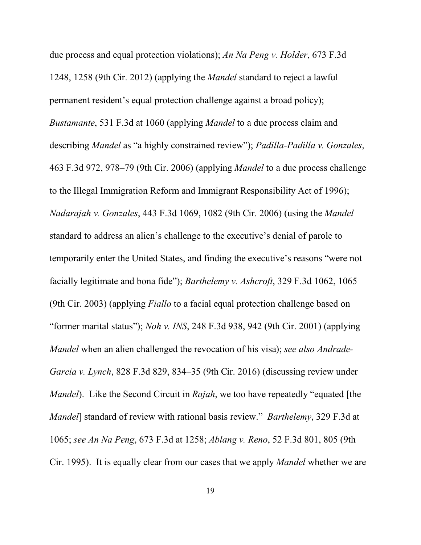due process and equal protection violations); *An Na Peng v. Holder*, 673 F.3d 1248, 1258 (9th Cir. 2012) (applying the *Mandel* standard to reject a lawful permanent resident's equal protection challenge against a broad policy); *Bustamante*, 531 F.3d at 1060 (applying *Mandel* to a due process claim and describing *Mandel* as "a highly constrained review"); *Padilla-Padilla v. Gonzales*, 463 F.3d 972, 978–79 (9th Cir. 2006) (applying *Mandel* to a due process challenge to the Illegal Immigration Reform and Immigrant Responsibility Act of 1996); *Nadarajah v. Gonzales*, 443 F.3d 1069, 1082 (9th Cir. 2006) (using the *Mandel* standard to address an alien's challenge to the executive's denial of parole to temporarily enter the United States, and finding the executive's reasons "were not facially legitimate and bona fide"); *Barthelemy v. Ashcroft*, 329 F.3d 1062, 1065 (9th Cir. 2003) (applying *Fiallo* to a facial equal protection challenge based on "former marital status"); *Noh v. INS*, 248 F.3d 938, 942 (9th Cir. 2001) (applying *Mandel* when an alien challenged the revocation of his visa); *see also Andrade-Garcia v. Lynch*, 828 F.3d 829, 834–35 (9th Cir. 2016) (discussing review under *Mandel*). Like the Second Circuit in *Rajah*, we too have repeatedly "equated [the *Mandel*] standard of review with rational basis review." *Barthelemy*, 329 F.3d at 1065; *see An Na Peng*, 673 F.3d at 1258; *Ablang v. Reno*, 52 F.3d 801, 805 (9th Cir. 1995). It is equally clear from our cases that we apply *Mandel* whether we are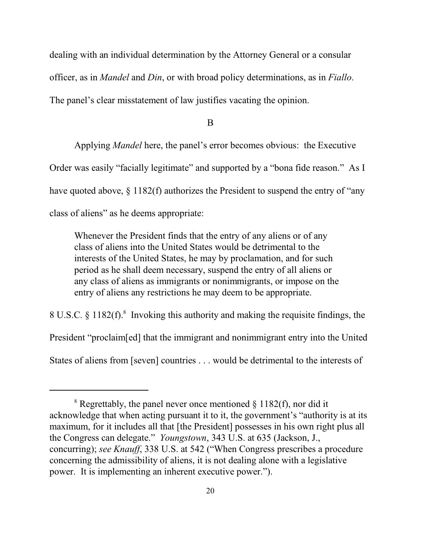dealing with an individual determination by the Attorney General or a consular officer, as in *Mandel* and *Din*, or with broad policy determinations, as in *Fiallo*. The panel's clear misstatement of law justifies vacating the opinion.

B

Applying *Mandel* here, the panel's error becomes obvious: the Executive Order was easily "facially legitimate" and supported by a "bona fide reason." As I have quoted above,  $\S 1182(f)$  authorizes the President to suspend the entry of "any" class of aliens" as he deems appropriate:

Whenever the President finds that the entry of any aliens or of any class of aliens into the United States would be detrimental to the interests of the United States, he may by proclamation, and for such period as he shall deem necessary, suspend the entry of all aliens or any class of aliens as immigrants or nonimmigrants, or impose on the entry of aliens any restrictions he may deem to be appropriate.

8 U.S.C.  $\S 1182(f).$ <sup>8</sup> Invoking this authority and making the requisite findings, the President "proclaim[ed] that the immigrant and nonimmigrant entry into the United States of aliens from [seven] countries . . . would be detrimental to the interests of

<sup>&</sup>lt;sup>8</sup> Regrettably, the panel never once mentioned  $\S 1182(f)$ , nor did it acknowledge that when acting pursuant it to it, the government's "authority is at its maximum, for it includes all that [the President] possesses in his own right plus all the Congress can delegate." *Youngstown*, 343 U.S. at 635 (Jackson, J., concurring); *see Knauff*, 338 U.S. at 542 ("When Congress prescribes a procedure concerning the admissibility of aliens, it is not dealing alone with a legislative power. It is implementing an inherent executive power.").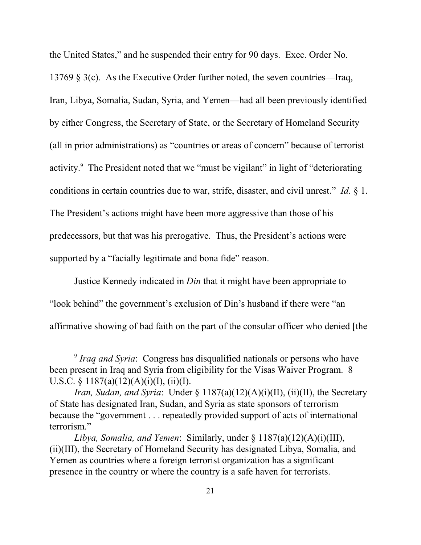the United States," and he suspended their entry for 90 days. Exec. Order No. 13769 § 3(c). As the Executive Order further noted, the seven countries—Iraq, Iran, Libya, Somalia, Sudan, Syria, and Yemen—had all been previously identified by either Congress, the Secretary of State, or the Secretary of Homeland Security (all in prior administrations) as "countries or areas of concern" because of terrorist activity.<sup>9</sup> The President noted that we "must be vigilant" in light of "deteriorating conditions in certain countries due to war, strife, disaster, and civil unrest." *Id.* § 1. The President's actions might have been more aggressive than those of his predecessors, but that was his prerogative. Thus, the President's actions were supported by a "facially legitimate and bona fide" reason.

Justice Kennedy indicated in *Din* that it might have been appropriate to "look behind" the government's exclusion of Din's husband if there were "an affirmative showing of bad faith on the part of the consular officer who denied [the

<sup>9</sup> *Iraq and Syria*: Congress has disqualified nationals or persons who have been present in Iraq and Syria from eligibility for the Visas Waiver Program. 8 U.S.C. § 1187(a)(12)(A)(i)(I), (ii)(I).

*Iran, Sudan, and Syria*: Under § 1187(a)(12)(A)(i)(II), (ii)(II), the Secretary of State has designated Iran, Sudan, and Syria as state sponsors of terrorism because the "government . . . repeatedly provided support of acts of international terrorism."

*Libya, Somalia, and Yemen*: Similarly, under § 1187(a)(12)(A)(i)(III), (ii)(III), the Secretary of Homeland Security has designated Libya, Somalia, and Yemen as countries where a foreign terrorist organization has a significant presence in the country or where the country is a safe haven for terrorists.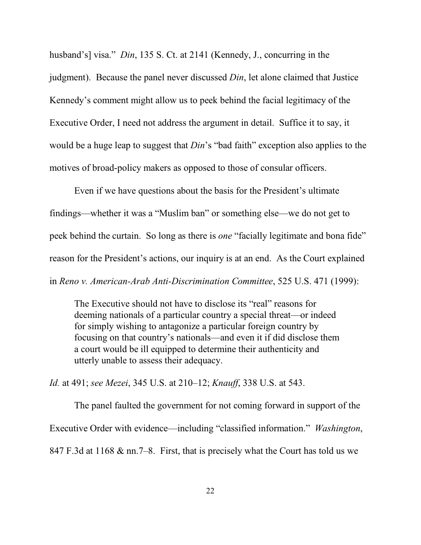husband's] visa." *Din*, 135 S. Ct. at 2141 (Kennedy, J., concurring in the judgment). Because the panel never discussed *Din*, let alone claimed that Justice Kennedy's comment might allow us to peek behind the facial legitimacy of the Executive Order, I need not address the argument in detail. Suffice it to say, it would be a huge leap to suggest that *Din*'s "bad faith" exception also applies to the motives of broad-policy makers as opposed to those of consular officers.

Even if we have questions about the basis for the President's ultimate findings—whether it was a "Muslim ban" or something else—we do not get to peek behind the curtain. So long as there is *one* "facially legitimate and bona fide" reason for the President's actions, our inquiry is at an end. As the Court explained in *Reno v. American-Arab Anti-Discrimination Committee*, 525 U.S. 471 (1999):

The Executive should not have to disclose its "real" reasons for deeming nationals of a particular country a special threat—or indeed for simply wishing to antagonize a particular foreign country by focusing on that country's nationals—and even it if did disclose them a court would be ill equipped to determine their authenticity and utterly unable to assess their adequacy.

*Id.* at 491; *see Mezei*, 345 U.S. at 210–12; *Knauff*, 338 U.S. at 543.

The panel faulted the government for not coming forward in support of the Executive Order with evidence—including "classified information." *Washington*, 847 F.3d at 1168 & nn.7–8. First, that is precisely what the Court has told us we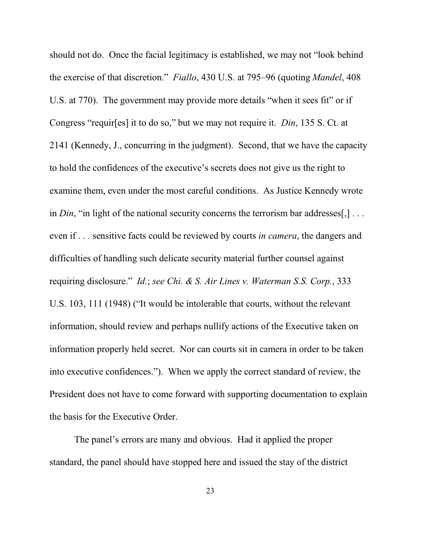should not do. Once the facial legitimacy is established, we may not "look behind the exercise of that discretion." *Fiallo*, 430 U.S. at 795–96 (quoting *Mandel*, 408 U.S. at 770). The government may provide more details "when it sees fit" or if Congress "requir[es] it to do so," but we may not require it. *Din*, 135 S. Ct. at 2141 (Kennedy, J., concurring in the judgment). Second, that we have the capacity to hold the confidences of the executive's secrets does not give us the right to examine them, even under the most careful conditions. As Justice Kennedy wrote in *Din*, "in light of the national security concerns the terrorism bar addresses[,] . . . even if . . . sensitive facts could be reviewed by courts *in camera*, the dangers and difficulties of handling such delicate security material further counsel against requiring disclosure." *Id.*; *see Chi. & S. Air Lines v. Waterman S.S. Corp.*, 333 U.S. 103, 111 (1948) ("It would be intolerable that courts, without the relevant information, should review and perhaps nullify actions of the Executive taken on information properly held secret. Nor can courts sit in camera in order to be taken into executive confidences."). When we apply the correct standard of review, the President does not have to come forward with supporting documentation to explain the basis for the Executive Order.

The panel's errors are many and obvious. Had it applied the proper standard, the panel should have stopped here and issued the stay of the district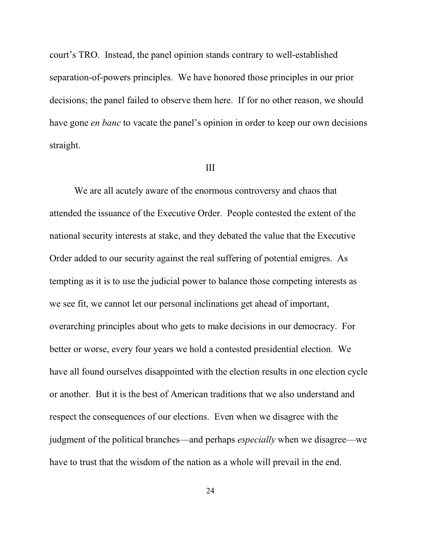court's TRO. Instead, the panel opinion stands contrary to well-established separation-of-powers principles. We have honored those principles in our prior decisions; the panel failed to observe them here. If for no other reason, we should have gone *en banc* to vacate the panel's opinion in order to keep our own decisions straight.

#### III

We are all acutely aware of the enormous controversy and chaos that attended the issuance of the Executive Order. People contested the extent of the national security interests at stake, and they debated the value that the Executive Order added to our security against the real suffering of potential emigres. As tempting as it is to use the judicial power to balance those competing interests as we see fit, we cannot let our personal inclinations get ahead of important, overarching principles about who gets to make decisions in our democracy. For better or worse, every four years we hold a contested presidential election. We have all found ourselves disappointed with the election results in one election cycle or another. But it is the best of American traditions that we also understand and respect the consequences of our elections. Even when we disagree with the judgment of the political branches—and perhaps *especially* when we disagree—we have to trust that the wisdom of the nation as a whole will prevail in the end.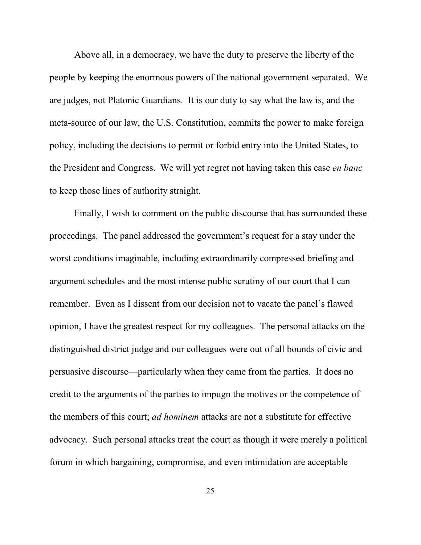Above all, in a democracy, we have the duty to preserve the liberty of the people by keeping the enormous powers of the national government separated. We are judges, not Platonic Guardians. It is our duty to say what the law is, and the meta-source of our law, the U.S. Constitution, commits the power to make foreign policy, including the decisions to permit or forbid entry into the United States, to the President and Congress. We will yet regret not having taken this case *en banc* to keep those lines of authority straight.

Finally, I wish to comment on the public discourse that has surrounded these proceedings. The panel addressed the government's request for a stay under the worst conditions imaginable, including extraordinarily compressed briefing and argument schedules and the most intense public scrutiny of our court that I can remember. Even as I dissent from our decision not to vacate the panel's flawed opinion, I have the greatest respect for my colleagues. The personal attacks on the distinguished district judge and our colleagues were out of all bounds of civic and persuasive discourse—particularly when they came from the parties. It does no credit to the arguments of the parties to impugn the motives or the competence of the members of this court; *ad hominem* attacks are not a substitute for effective advocacy. Such personal attacks treat the court as though it were merely a political forum in which bargaining, compromise, and even intimidation are acceptable